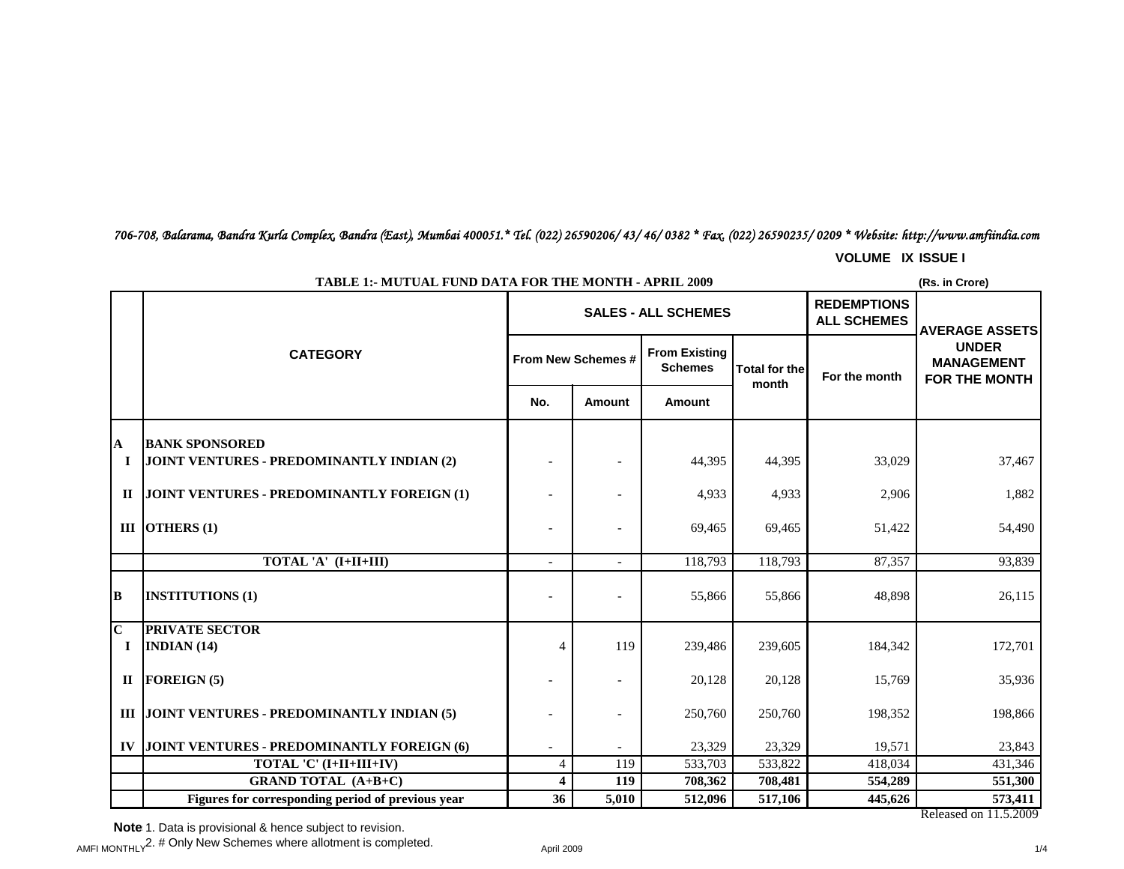*706-708, Balarama, Bandra Kurla Complex, Bandra (East), Mumbai 400051.\* Tel. (022) 26590206/ 43/ 46/ 0382 \* Fax. (022) 26590235/ 0209 \* Website: http://www.amfiindia.com*

**VOLUME IX ISSUE I**

|                         |                                                   |                    |        | <b>SALES - ALL SCHEMES</b>             | <b>REDEMPTIONS</b><br><b>ALL SCHEMES</b> | <b>AVERAGE ASSETS</b> |                                                           |
|-------------------------|---------------------------------------------------|--------------------|--------|----------------------------------------|------------------------------------------|-----------------------|-----------------------------------------------------------|
|                         | <b>CATEGORY</b>                                   | From New Schemes # |        | <b>From Existing</b><br><b>Schemes</b> | Total for the                            | For the month         | <b>UNDER</b><br><b>MANAGEMENT</b><br><b>FOR THE MONTH</b> |
|                         |                                                   | No.                | Amount | Amount                                 | month                                    |                       |                                                           |
| A                       | <b>BANK SPONSORED</b>                             |                    |        |                                        |                                          |                       |                                                           |
| П                       | JOINT VENTURES - PREDOMINANTLY INDIAN (2)         |                    |        | 44,395                                 | 44,395                                   | 33,029                | 37,467                                                    |
| $\mathbf{H}$            | JOINT VENTURES - PREDOMINANTLY FOREIGN (1)        |                    |        | 4,933                                  | 4,933                                    | 2,906                 | 1,882                                                     |
|                         | III OTHERS $(1)$                                  |                    |        | 69,465                                 | 69.465                                   | 51,422                | 54,490                                                    |
|                         | TOTAL 'A' (I+II+III)                              |                    |        | 118,793                                | 118,793                                  | 87,357                | 93,839                                                    |
| B                       | <b>INSTITUTIONS (1)</b>                           |                    |        | 55,866                                 | 55,866                                   | 48,898                | 26,115                                                    |
| $\overline{\mathbf{C}}$ | <b>PRIVATE SECTOR</b>                             |                    |        |                                        |                                          |                       |                                                           |
| $\bf{I}$                | INDIAN $(14)$                                     | $\overline{4}$     | 119    | 239,486                                | 239,605                                  | 184,342               | 172,701                                                   |
| $\mathbf{I}$            | <b>FOREIGN (5)</b>                                |                    |        | 20,128                                 | 20,128                                   | 15,769                | 35,936                                                    |
|                         | III JOINT VENTURES - PREDOMINANTLY INDIAN (5)     |                    |        | 250,760                                | 250,760                                  | 198,352               | 198,866                                                   |
| IV                      | JOINT VENTURES - PREDOMINANTLY FOREIGN (6)        |                    |        | 23,329                                 | 23,329                                   | 19,571                | 23,843                                                    |
|                         | TOTAL 'C' (I+II+III+IV)                           | 4                  | 119    | 533,703                                | 533,822                                  | 418,034               | 431,346                                                   |
|                         | <b>GRAND TOTAL (A+B+C)</b>                        | 4                  | 119    | 708,362                                | 708,481                                  | 554,289               | 551,300                                                   |
|                         | Figures for corresponding period of previous year | $\overline{36}$    | 5,010  | 512,096                                | 517,106                                  | 445,626               | 573,411<br>Released on 11.5.2009                          |

# **TABLE 1:- MUTUAL FUND DATA FOR THE MONTH - APRIL 2009**

**(Rs. in Crore)**

**Note** 1. Data is provisional & hence subject to revision.

 $\mu$ AMFI MONTHLY $^2$ . # Only New Schemes where allotment is completed.  $\mu$  april 2009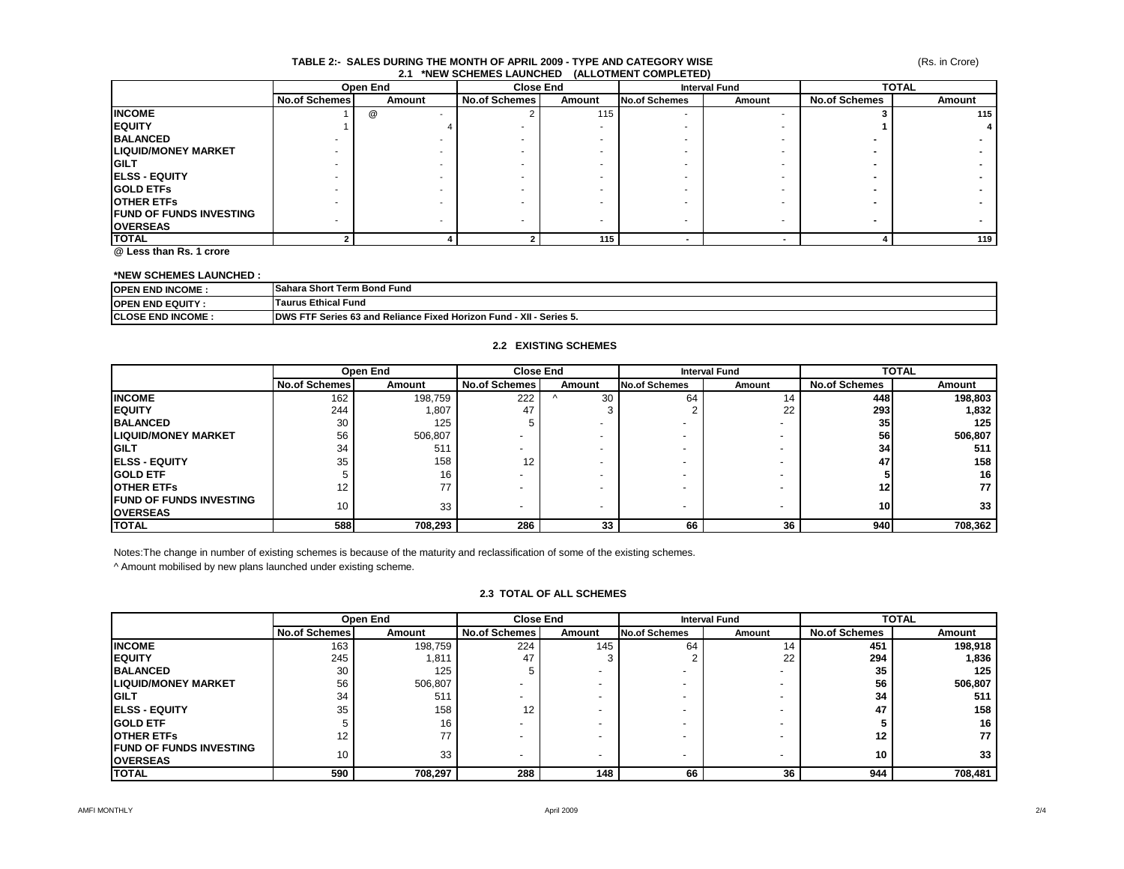#### **TABLE 2:- SALES DURING THE MONTH OF APRIL 2009 - TYPE AND CATEGORY WISE 2.1 \*NEW SCHEMES LAUNCHED (ALLOTMENT COMPLETED)**

|                                 | Open End             |        | <b>Close End</b>     |        | <b>Interval Fund</b> |        | <b>TOTAL</b>         |        |
|---------------------------------|----------------------|--------|----------------------|--------|----------------------|--------|----------------------|--------|
|                                 | <b>No.of Schemes</b> | Amount | <b>No.of Schemes</b> | Amount | <b>No.of Schemes</b> | Amount | <b>No.of Schemes</b> | Amount |
| <b>INCOME</b>                   |                      | @      |                      | 115    |                      |        |                      | 115    |
| <b>IEQUITY</b>                  |                      |        |                      | ۰      |                      |        |                      |        |
| <b>BALANCED</b>                 |                      |        |                      |        |                      |        |                      |        |
| <b>LIQUID/MONEY MARKET</b>      |                      |        |                      |        |                      |        |                      |        |
| <b>IGILT</b>                    |                      |        |                      | ۰      |                      |        |                      |        |
| <b>ELSS - EQUITY</b>            |                      |        |                      | ۰      |                      |        |                      |        |
| <b>IGOLD ETFS</b>               |                      |        |                      |        |                      |        |                      |        |
| <b>OTHER ETFS</b>               |                      |        |                      |        |                      |        |                      |        |
| <b>IFUND OF FUNDS INVESTING</b> |                      |        |                      |        |                      |        |                      |        |
| <b>OVERSEAS</b>                 |                      |        |                      |        |                      |        |                      |        |
| <b>TOTAL</b>                    |                      |        |                      | 115    |                      |        |                      | 119    |

**@ Less than Rs. 1 crore**

### **\*NEW SCHEMES LAUNCHED :**

| <b>OPEN END INCOME:</b>   | <b>Sahara Short Term Bond Fund</b>                                                  |
|---------------------------|-------------------------------------------------------------------------------------|
| <b>IOPEN END EQUITY:</b>  | <b>urus Ethical Fund</b>                                                            |
| <b>ICLOSE END INCOME:</b> | <b>IDWS FTF Series 63 and Reliance Fixed Horizon Fund -</b><br>- XII -<br>Series 5. |

### **2.2 EXISTING SCHEMES**

|                                 |                      | Open End | <b>Close End</b>               |    | <b>Interval Fund</b>           |    | <b>TOTAL</b>         |         |
|---------------------------------|----------------------|----------|--------------------------------|----|--------------------------------|----|----------------------|---------|
|                                 | <b>No.of Schemes</b> | Amount   | <b>No.of Schemes</b><br>Amount |    | <b>No.of Schemes</b><br>Amount |    | <b>No.of Schemes</b> | Amount  |
| <b>INCOME</b>                   | 162                  | 198,759  | 222                            | 30 | 64                             | 14 | 448                  | 198,803 |
| <b>IEQUITY</b>                  | 244                  | 1,807    | 47                             |    |                                | 22 | 293                  | 1,832   |
| <b>BALANCED</b>                 | 30                   | 125      |                                |    |                                |    | 35                   | 125     |
| <b>LIQUID/MONEY MARKET</b>      | 56                   | 506,807  |                                |    |                                |    | 56                   | 506,807 |
| <b>IGILT</b>                    | 34                   | 511      |                                |    |                                |    | 34                   | 511     |
| <b>IELSS - EQUITY</b>           | 35                   | 158      | 12                             |    |                                |    | 47                   | 158     |
| <b>GOLD ETF</b>                 |                      | 16       |                                |    |                                |    |                      | 16      |
| <b>OTHER ETFS</b>               |                      | 77       |                                |    |                                |    |                      | 77      |
| <b>IFUND OF FUNDS INVESTING</b> | 10                   | 33       |                                |    |                                |    | <b>10</b>            | 33      |
| <b>OVERSEAS</b>                 |                      |          |                                |    | $\overline{\phantom{0}}$       |    |                      |         |
| <b>TOTAL</b>                    | 588                  | 708.293  | 286                            | 33 | 66                             | 36 | 940                  | 708,362 |

Notes:The change in number of existing schemes is because of the maturity and reclassification of some of the existing schemes.

^ Amount mobilised by new plans launched under existing scheme.

#### **2.3 TOTAL OF ALL SCHEMES**

|                                 | Open End             |         | <b>Close End</b>     |                          | <b>Interval Fund</b>     |        | <b>TOTAL</b>         |         |
|---------------------------------|----------------------|---------|----------------------|--------------------------|--------------------------|--------|----------------------|---------|
|                                 | <b>No.of Schemes</b> | Amount  | <b>No.of Schemes</b> | Amount                   | <b>No.of Schemes</b>     | Amount | <b>No.of Schemes</b> | Amount  |
| <b>INCOME</b>                   | 163                  | 198,759 | 224                  | 145                      | 64                       | 14     | 451                  | 198,918 |
| <b>IEQUITY</b>                  | 245                  | 1,811   | 47                   |                          |                          | 22     | 294                  | 1,836   |
| <b>BALANCED</b>                 | 30                   | 125     |                      | $\overline{\phantom{0}}$ | $\overline{\phantom{a}}$ |        | 35                   | 125     |
| <b>LIQUID/MONEY MARKET</b>      | 56                   | 506,807 |                      | $\overline{\phantom{0}}$ | $\overline{\phantom{a}}$ |        | 56                   | 506,807 |
| <b>GILT</b>                     | 34                   | 511     |                      |                          | $\overline{\phantom{0}}$ |        | 34                   | 511     |
| <b>IELSS - EQUITY</b>           | 35                   | 158     | 12                   |                          | $\overline{\phantom{a}}$ |        | 47                   | 158     |
| <b>IGOLD ETF</b>                |                      | 16      |                      |                          | $\overline{\phantom{0}}$ |        |                      | 16      |
| <b>OTHER ETFS</b>               | 12                   | 77      |                      |                          | $\overline{\phantom{a}}$ |        | 12                   | 77      |
| <b>IFUND OF FUNDS INVESTING</b> | 10                   | 33      |                      |                          |                          |        | 10                   | 33      |
| <b>OVERSEAS</b>                 |                      |         |                      | -                        | $\overline{\phantom{a}}$ |        |                      |         |
| <b>ITOTAL</b>                   | 590                  | 708,297 | 288                  | 148                      | 66                       | 36     | 944                  | 708,481 |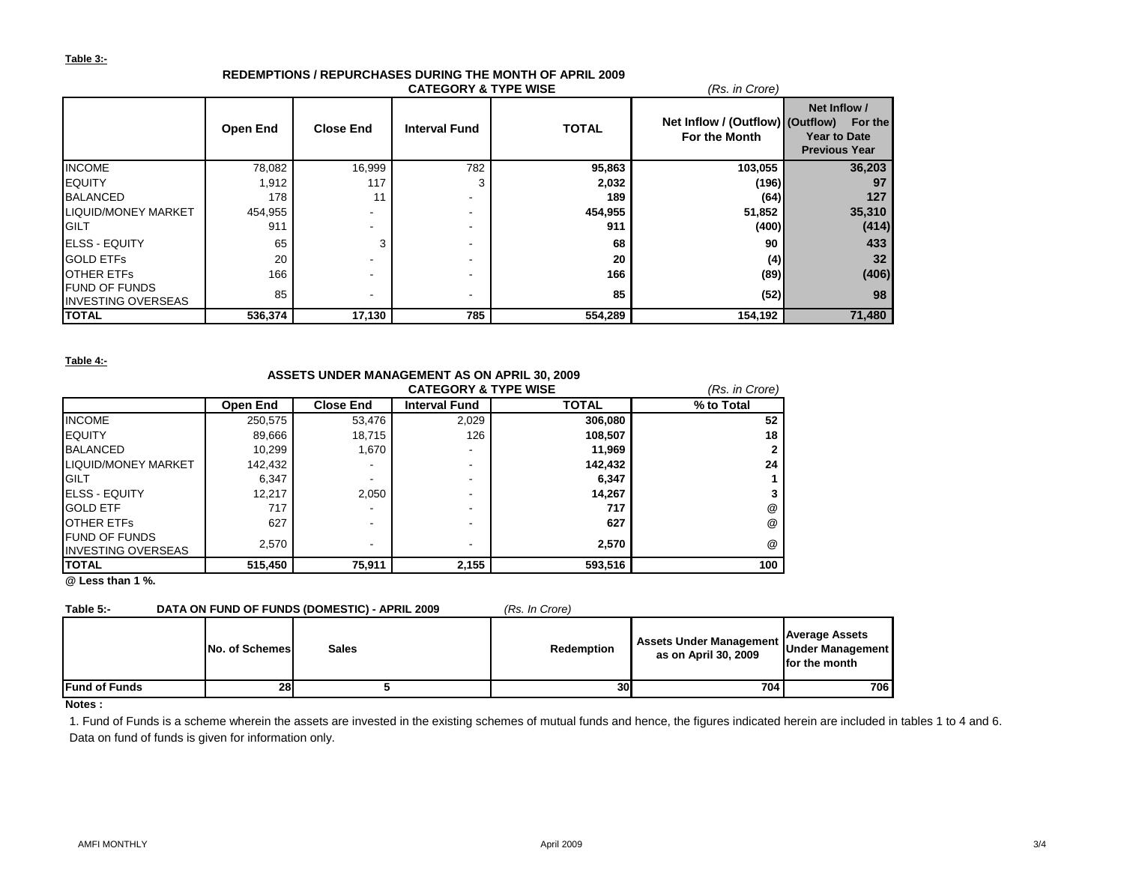### **Table 3:-**

|                                                   |                 |                  | <b>CATEGORY &amp; TYPE WISE</b> |              | (Rs. in Crore)                                    |                                                                        |  |
|---------------------------------------------------|-----------------|------------------|---------------------------------|--------------|---------------------------------------------------|------------------------------------------------------------------------|--|
|                                                   | <b>Open End</b> | <b>Close End</b> | <b>Interval Fund</b>            | <b>TOTAL</b> | Net Inflow / (Outflow) (Outflow)<br>For the Month | Net Inflow /<br>For the<br><b>Year to Date</b><br><b>Previous Year</b> |  |
| <b>INCOME</b>                                     | 78,082          | 16,999           | 782                             | 95,863       | 103,055                                           | 36,203                                                                 |  |
| <b>EQUITY</b>                                     | 1,912           | 117              |                                 | 2,032        | (196)                                             | 97                                                                     |  |
| <b>BALANCED</b>                                   | 178             | 11               |                                 | 189          | (64)                                              | 127                                                                    |  |
| LIQUID/MONEY MARKET                               | 454,955         |                  |                                 | 454,955      | 51,852                                            | 35,310                                                                 |  |
| <b>GILT</b>                                       | 911             |                  |                                 | 911          | (400)                                             | (414)                                                                  |  |
| <b>IELSS - EQUITY</b>                             | 65              |                  |                                 | 68           | 90                                                | 433                                                                    |  |
| <b>GOLD ETFS</b>                                  | 20              |                  |                                 | 20           | (4)                                               | 32 <sub>2</sub>                                                        |  |
| <b>OTHER ETFS</b>                                 | 166             |                  |                                 | 166          | (89)                                              | (406)                                                                  |  |
| <b>FUND OF FUNDS</b><br><b>INVESTING OVERSEAS</b> | 85              |                  |                                 | 85           | (52)                                              | 98                                                                     |  |
| <b>TOTAL</b>                                      | 536,374         | 17,130           | 785                             | 554,289      | 154,192                                           | 71,480                                                                 |  |

# **REDEMPTIONS / REPURCHASES DURING THE MONTH OF APRIL 2009**

### **Table 4:-**

| $10000 - 7.$                                      |            |                                              |                                 |         |                |  |  |  |
|---------------------------------------------------|------------|----------------------------------------------|---------------------------------|---------|----------------|--|--|--|
|                                                   |            | ASSETS UNDER MANAGEMENT AS ON APRIL 30, 2009 |                                 |         |                |  |  |  |
|                                                   |            |                                              | <b>CATEGORY &amp; TYPE WISE</b> |         | (Rs. in Crore) |  |  |  |
|                                                   | % to Total |                                              |                                 |         |                |  |  |  |
| <b>INCOME</b>                                     | 250,575    | 53,476                                       | 2,029                           | 306,080 | 52             |  |  |  |
| <b>EQUITY</b>                                     | 89,666     | 18,715                                       | 126                             | 108,507 | 18             |  |  |  |
| <b>BALANCED</b>                                   | 10.299     | 1,670                                        | -                               | 11.969  |                |  |  |  |
| <b>LIQUID/MONEY MARKET</b>                        | 142,432    |                                              | -                               | 142,432 | 24             |  |  |  |
| <b>GILT</b>                                       | 6,347      |                                              | -                               | 6,347   |                |  |  |  |
| <b>IELSS - EQUITY</b>                             | 12.217     | 2,050                                        |                                 | 14.267  |                |  |  |  |
| <b>GOLD ETF</b>                                   | 717        |                                              | -                               | 717     | @              |  |  |  |
| OTHER ETFS                                        | 627        | -                                            | -                               | 627     | @              |  |  |  |
| <b>FUND OF FUNDS</b><br><b>INVESTING OVERSEAS</b> | 2,570      | -                                            | $\overline{\phantom{a}}$        | 2,570   | @              |  |  |  |
| <b>TOTAL</b>                                      | 515,450    | 75,911                                       | 2,155                           | 593,516 | 100            |  |  |  |

**@ Less than 1 %.**

## **Table 5:- DATA ON FUND OF FUNDS (DOMESTIC) - APRIL 2009** *(Rs. In Crore)*

| .                    |                |              | ,,,,,,,,,,,,,,,   |                                                   |                                                            |
|----------------------|----------------|--------------|-------------------|---------------------------------------------------|------------------------------------------------------------|
|                      | No. of Schemes | <b>Sales</b> | <b>Redemption</b> | Assets Under Management  <br>as on April 30, 2009 | <b>Average Assets</b><br>Under Management<br>for the month |
| <b>Fund of Funds</b> | 28             |              | 30                | 7041                                              | 706                                                        |

### **Notes :**

1. Fund of Funds is a scheme wherein the assets are invested in the existing schemes of mutual funds and hence, the figures indicated herein are included in tables 1 to 4 and 6. Data on fund of funds is given for information only.